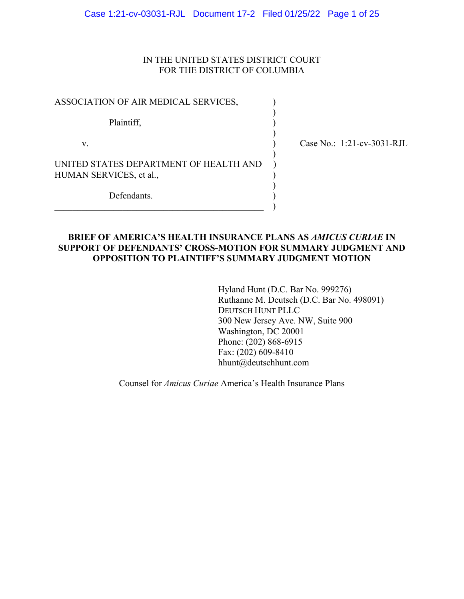## IN THE UNITED STATES DISTRICT COURT FOR THE DISTRICT OF COLUMBIA

| ASSOCIATION OF AIR MEDICAL SERVICES,                              |  |
|-------------------------------------------------------------------|--|
| Plaintiff,                                                        |  |
| V.                                                                |  |
| UNITED STATES DEPARTMENT OF HEALTH AND<br>HUMAN SERVICES, et al., |  |
| Defendants.                                                       |  |

\_\_\_\_\_\_\_\_\_\_\_\_\_\_\_\_\_\_\_\_\_\_\_\_\_\_\_\_\_\_\_\_\_\_\_\_\_\_\_\_\_\_\_\_\_\_ )

(ase No.: 1:21-cv-3031-RJL)

# **BRIEF OF AMERICA'S HEALTH INSURANCE PLANS AS** *AMICUS CURIAE* **IN SUPPORT OF DEFENDANTS' CROSS-MOTION FOR SUMMARY JUDGMENT AND OPPOSITION TO PLAINTIFF'S SUMMARY JUDGMENT MOTION**

 Hyland Hunt (D.C. Bar No. 999276) Ruthanne M. Deutsch (D.C. Bar No. 498091) DEUTSCH HUNT PLLC 300 New Jersey Ave. NW, Suite 900 Washington, DC 20001 Phone: (202) 868-6915 Fax: (202) 609-8410 hhunt@deutschhunt.com

Counsel for *Amicus Curiae* America's Health Insurance Plans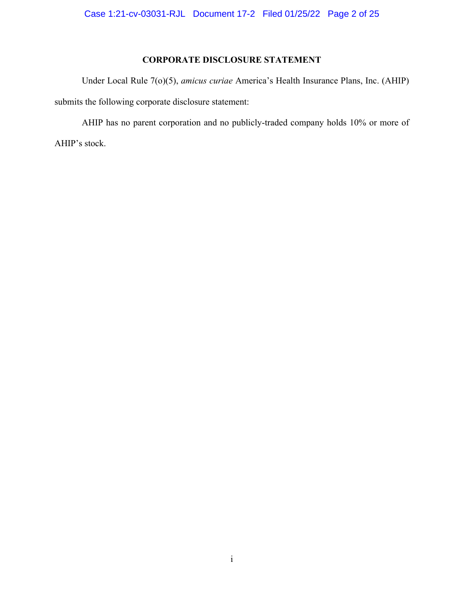# **CORPORATE DISCLOSURE STATEMENT**

Under Local Rule 7(o)(5), *amicus curiae* America's Health Insurance Plans, Inc. (AHIP) submits the following corporate disclosure statement:

AHIP has no parent corporation and no publicly-traded company holds 10% or more of AHIP's stock.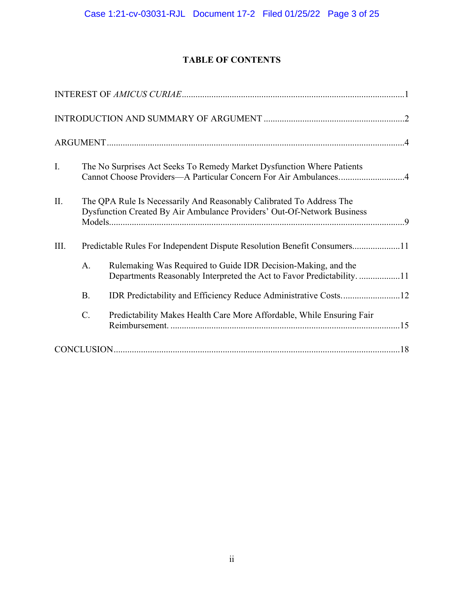# **TABLE OF CONTENTS**

| I.   |           | The No Surprises Act Seeks To Remedy Market Dysfunction Where Patients<br>Cannot Choose Providers—A Particular Concern For Air Ambulances4      |
|------|-----------|-------------------------------------------------------------------------------------------------------------------------------------------------|
| II.  |           | The QPA Rule Is Necessarily And Reasonably Calibrated To Address The<br>Dysfunction Created By Air Ambulance Providers' Out-Of-Network Business |
| III. |           | Predictable Rules For Independent Dispute Resolution Benefit Consumers11                                                                        |
|      | A.        | Rulemaking Was Required to Guide IDR Decision-Making, and the<br>Departments Reasonably Interpreted the Act to Favor Predictability. 11         |
|      | <b>B.</b> |                                                                                                                                                 |
|      | $C$ .     | Predictability Makes Health Care More Affordable, While Ensuring Fair                                                                           |
|      |           |                                                                                                                                                 |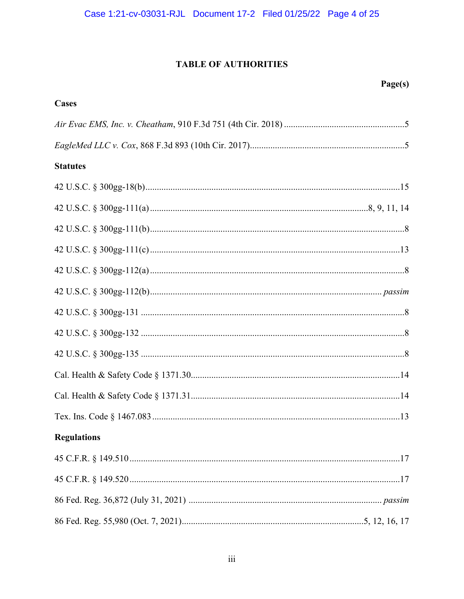# **TABLE OF AUTHORITIES**

| Cases              |  |
|--------------------|--|
|                    |  |
|                    |  |
| <b>Statutes</b>    |  |
|                    |  |
|                    |  |
|                    |  |
|                    |  |
|                    |  |
|                    |  |
|                    |  |
|                    |  |
|                    |  |
|                    |  |
|                    |  |
|                    |  |
| <b>Regulations</b> |  |
|                    |  |
|                    |  |
|                    |  |
|                    |  |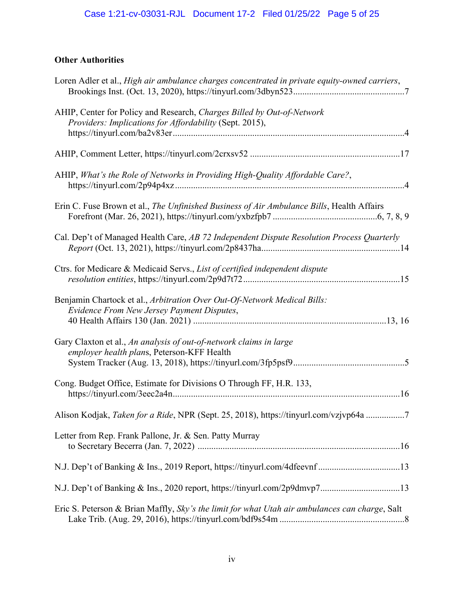# **Other Authorities**

| Loren Adler et al., High air ambulance charges concentrated in private equity-owned carriers,                                     |
|-----------------------------------------------------------------------------------------------------------------------------------|
| AHIP, Center for Policy and Research, Charges Billed by Out-of-Network<br>Providers: Implications for Affordability (Sept. 2015), |
|                                                                                                                                   |
| AHIP, What's the Role of Networks in Providing High-Quality Affordable Care?,                                                     |
| Erin C. Fuse Brown et al., The Unfinished Business of Air Ambulance Bills, Health Affairs                                         |
| Cal. Dep't of Managed Health Care, AB 72 Independent Dispute Resolution Process Quarterly                                         |
| Ctrs. for Medicare & Medicaid Servs., List of certified independent dispute                                                       |
| Benjamin Chartock et al., Arbitration Over Out-Of-Network Medical Bills:<br>Evidence From New Jersey Payment Disputes,            |
| Gary Claxton et al., An analysis of out-of-network claims in large<br>employer health plans, Peterson-KFF Health                  |
| Cong. Budget Office, Estimate for Divisions O Through FF, H.R. 133,                                                               |
| Alison Kodjak, Taken for a Ride, NPR (Sept. 25, 2018), https://tinyurl.com/vzjvp64a 7                                             |
| Letter from Rep. Frank Pallone, Jr. & Sen. Patty Murray                                                                           |
|                                                                                                                                   |
|                                                                                                                                   |
| Eric S. Peterson & Brian Maffly, Sky's the limit for what Utah air ambulances can charge, Salt                                    |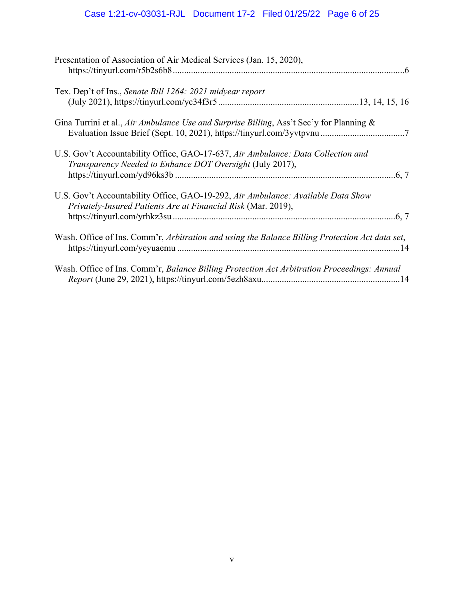# Case 1:21-cv-03031-RJL Document 17-2 Filed 01/25/22 Page 6 of 25

| Presentation of Association of Air Medical Services (Jan. 15, 2020),                                                                              |
|---------------------------------------------------------------------------------------------------------------------------------------------------|
| Tex. Dep't of Ins., Senate Bill 1264: 2021 midyear report                                                                                         |
| Gina Turrini et al., Air Ambulance Use and Surprise Billing, Ass't Sec'y for Planning &                                                           |
| U.S. Gov't Accountability Office, GAO-17-637, Air Ambulance: Data Collection and<br>Transparency Needed to Enhance DOT Oversight (July 2017),     |
| U.S. Gov't Accountability Office, GAO-19-292, Air Ambulance: Available Data Show<br>Privately-Insured Patients Are at Financial Risk (Mar. 2019), |
| Wash. Office of Ins. Comm'r, Arbitration and using the Balance Billing Protection Act data set,                                                   |
| Wash. Office of Ins. Comm'r, Balance Billing Protection Act Arbitration Proceedings: Annual                                                       |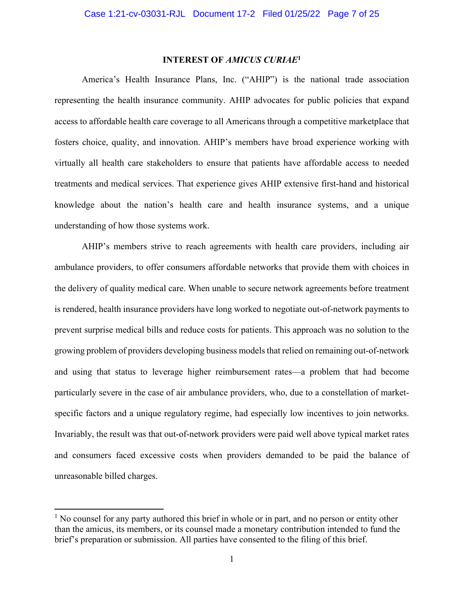# **INTEREST OF** *AMICUS CURIAE***<sup>1</sup>**

America's Health Insurance Plans, Inc. ("AHIP") is the national trade association representing the health insurance community. AHIP advocates for public policies that expand access to affordable health care coverage to all Americans through a competitive marketplace that fosters choice, quality, and innovation. AHIP's members have broad experience working with virtually all health care stakeholders to ensure that patients have affordable access to needed treatments and medical services. That experience gives AHIP extensive first-hand and historical knowledge about the nation's health care and health insurance systems, and a unique understanding of how those systems work.

AHIP's members strive to reach agreements with health care providers, including air ambulance providers, to offer consumers affordable networks that provide them with choices in the delivery of quality medical care. When unable to secure network agreements before treatment is rendered, health insurance providers have long worked to negotiate out-of-network payments to prevent surprise medical bills and reduce costs for patients. This approach was no solution to the growing problem of providers developing business models that relied on remaining out-of-network and using that status to leverage higher reimbursement rates—a problem that had become particularly severe in the case of air ambulance providers, who, due to a constellation of marketspecific factors and a unique regulatory regime, had especially low incentives to join networks. Invariably, the result was that out-of-network providers were paid well above typical market rates and consumers faced excessive costs when providers demanded to be paid the balance of unreasonable billed charges.

<sup>&</sup>lt;sup>1</sup> No counsel for any party authored this brief in whole or in part, and no person or entity other than the amicus, its members, or its counsel made a monetary contribution intended to fund the brief's preparation or submission. All parties have consented to the filing of this brief.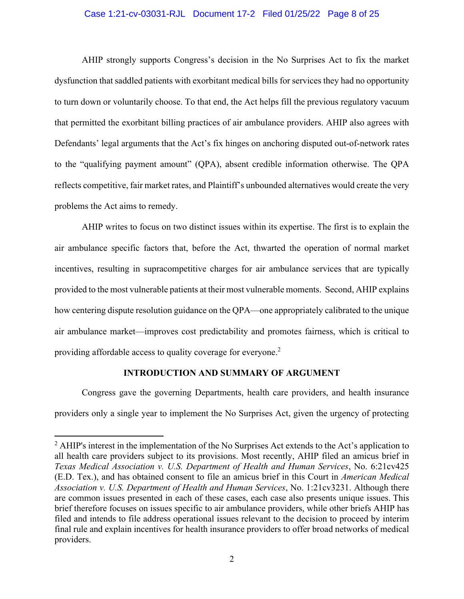#### Case 1:21-cv-03031-RJL Document 17-2 Filed 01/25/22 Page 8 of 25

AHIP strongly supports Congress's decision in the No Surprises Act to fix the market dysfunction that saddled patients with exorbitant medical bills for services they had no opportunity to turn down or voluntarily choose. To that end, the Act helps fill the previous regulatory vacuum that permitted the exorbitant billing practices of air ambulance providers. AHIP also agrees with Defendants' legal arguments that the Act's fix hinges on anchoring disputed out-of-network rates to the "qualifying payment amount" (QPA), absent credible information otherwise. The QPA reflects competitive, fair market rates, and Plaintiff's unbounded alternatives would create the very problems the Act aims to remedy.

AHIP writes to focus on two distinct issues within its expertise. The first is to explain the air ambulance specific factors that, before the Act, thwarted the operation of normal market incentives, resulting in supracompetitive charges for air ambulance services that are typically provided to the most vulnerable patients at their most vulnerable moments. Second, AHIP explains how centering dispute resolution guidance on the QPA—one appropriately calibrated to the unique air ambulance market—improves cost predictability and promotes fairness, which is critical to providing affordable access to quality coverage for everyone.<sup>2</sup>

#### **INTRODUCTION AND SUMMARY OF ARGUMENT**

Congress gave the governing Departments, health care providers, and health insurance providers only a single year to implement the No Surprises Act, given the urgency of protecting

 $2$  AHIP's interest in the implementation of the No Surprises Act extends to the Act's application to all health care providers subject to its provisions. Most recently, AHIP filed an amicus brief in *Texas Medical Association v. U.S. Department of Health and Human Services*, No. 6:21cv425 (E.D. Tex.), and has obtained consent to file an amicus brief in this Court in *American Medical Association v. U.S. Department of Health and Human Services*, No. 1:21cv3231. Although there are common issues presented in each of these cases, each case also presents unique issues. This brief therefore focuses on issues specific to air ambulance providers, while other briefs AHIP has filed and intends to file address operational issues relevant to the decision to proceed by interim final rule and explain incentives for health insurance providers to offer broad networks of medical providers.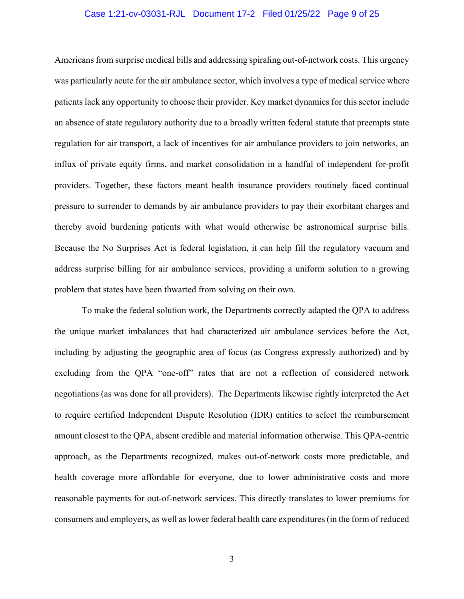#### Case 1:21-cv-03031-RJL Document 17-2 Filed 01/25/22 Page 9 of 25

Americans from surprise medical bills and addressing spiraling out-of-network costs. This urgency was particularly acute for the air ambulance sector, which involves a type of medical service where patients lack any opportunity to choose their provider. Key market dynamics for this sector include an absence of state regulatory authority due to a broadly written federal statute that preempts state regulation for air transport, a lack of incentives for air ambulance providers to join networks, an influx of private equity firms, and market consolidation in a handful of independent for-profit providers. Together, these factors meant health insurance providers routinely faced continual pressure to surrender to demands by air ambulance providers to pay their exorbitant charges and thereby avoid burdening patients with what would otherwise be astronomical surprise bills. Because the No Surprises Act is federal legislation, it can help fill the regulatory vacuum and address surprise billing for air ambulance services, providing a uniform solution to a growing problem that states have been thwarted from solving on their own.

To make the federal solution work, the Departments correctly adapted the QPA to address the unique market imbalances that had characterized air ambulance services before the Act, including by adjusting the geographic area of focus (as Congress expressly authorized) and by excluding from the QPA "one-off" rates that are not a reflection of considered network negotiations (as was done for all providers). The Departments likewise rightly interpreted the Act to require certified Independent Dispute Resolution (IDR) entities to select the reimbursement amount closest to the QPA, absent credible and material information otherwise. This QPA-centric approach, as the Departments recognized, makes out-of-network costs more predictable, and health coverage more affordable for everyone, due to lower administrative costs and more reasonable payments for out-of-network services. This directly translates to lower premiums for consumers and employers, as well as lower federal health care expenditures (in the form of reduced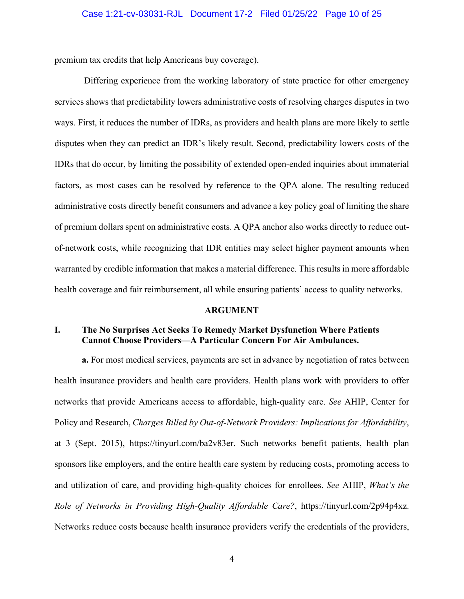premium tax credits that help Americans buy coverage).

 Differing experience from the working laboratory of state practice for other emergency services shows that predictability lowers administrative costs of resolving charges disputes in two ways. First, it reduces the number of IDRs, as providers and health plans are more likely to settle disputes when they can predict an IDR's likely result. Second, predictability lowers costs of the IDRs that do occur, by limiting the possibility of extended open-ended inquiries about immaterial factors, as most cases can be resolved by reference to the QPA alone. The resulting reduced administrative costs directly benefit consumers and advance a key policy goal of limiting the share of premium dollars spent on administrative costs. A QPA anchor also works directly to reduce outof-network costs, while recognizing that IDR entities may select higher payment amounts when warranted by credible information that makes a material difference. This results in more affordable health coverage and fair reimbursement, all while ensuring patients' access to quality networks.

#### **ARGUMENT**

### **I. The No Surprises Act Seeks To Remedy Market Dysfunction Where Patients Cannot Choose Providers—A Particular Concern For Air Ambulances.**

**a.** For most medical services, payments are set in advance by negotiation of rates between health insurance providers and health care providers. Health plans work with providers to offer networks that provide Americans access to affordable, high-quality care. *See* AHIP, Center for Policy and Research, *Charges Billed by Out-of-Network Providers: Implications for Affordability*, at 3 (Sept. 2015), https://tinyurl.com/ba2v83er. Such networks benefit patients, health plan sponsors like employers, and the entire health care system by reducing costs, promoting access to and utilization of care, and providing high-quality choices for enrollees. *See* AHIP, *What's the Role of Networks in Providing High-Quality Affordable Care?*, https://tinyurl.com/2p94p4xz. Networks reduce costs because health insurance providers verify the credentials of the providers,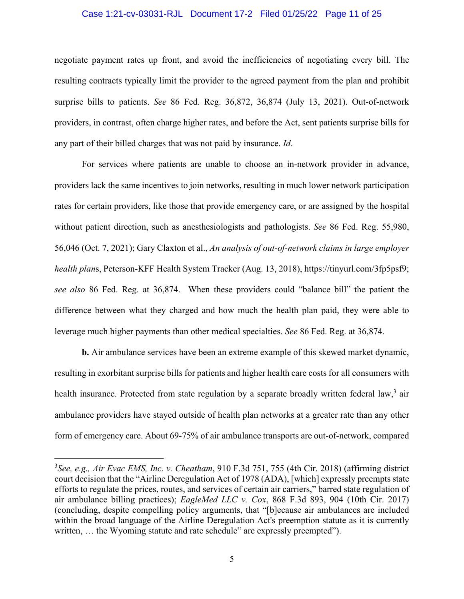#### Case 1:21-cv-03031-RJL Document 17-2 Filed 01/25/22 Page 11 of 25

negotiate payment rates up front, and avoid the inefficiencies of negotiating every bill. The resulting contracts typically limit the provider to the agreed payment from the plan and prohibit surprise bills to patients. *See* 86 Fed. Reg. 36,872, 36,874 (July 13, 2021). Out-of-network providers, in contrast, often charge higher rates, and before the Act, sent patients surprise bills for any part of their billed charges that was not paid by insurance. *Id*.

For services where patients are unable to choose an in-network provider in advance, providers lack the same incentives to join networks, resulting in much lower network participation rates for certain providers, like those that provide emergency care, or are assigned by the hospital without patient direction, such as anesthesiologists and pathologists. *See* 86 Fed. Reg. 55,980, 56,046 (Oct. 7, 2021); Gary Claxton et al., *An analysis of out-of-network claims in large employer health plan*s, Peterson-KFF Health System Tracker (Aug. 13, 2018), https://tinyurl.com/3fp5psf9; *see also* 86 Fed. Reg. at 36,874. When these providers could "balance bill" the patient the difference between what they charged and how much the health plan paid, they were able to leverage much higher payments than other medical specialties. *See* 86 Fed. Reg. at 36,874.

**b.** Air ambulance services have been an extreme example of this skewed market dynamic, resulting in exorbitant surprise bills for patients and higher health care costs for all consumers with health insurance. Protected from state regulation by a separate broadly written federal law,<sup>3</sup> air ambulance providers have stayed outside of health plan networks at a greater rate than any other form of emergency care. About 69-75% of air ambulance transports are out-of-network, compared

<sup>3</sup> *See, e.g., Air Evac EMS, Inc. v. Cheatham*, 910 F.3d 751, 755 (4th Cir. 2018) (affirming district court decision that the "Airline Deregulation Act of 1978 (ADA), [which] expressly preempts state efforts to regulate the prices, routes, and services of certain air carriers," barred state regulation of air ambulance billing practices); *EagleMed LLC v. Cox*, 868 F.3d 893, 904 (10th Cir. 2017) (concluding, despite compelling policy arguments, that "[b]ecause air ambulances are included within the broad language of the Airline Deregulation Act's preemption statute as it is currently written, ... the Wyoming statute and rate schedule" are expressly preempted").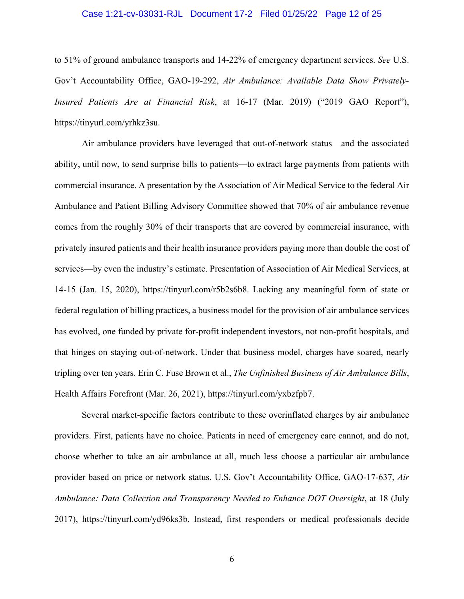#### Case 1:21-cv-03031-RJL Document 17-2 Filed 01/25/22 Page 12 of 25

to 51% of ground ambulance transports and 14-22% of emergency department services. *See* U.S. Gov't Accountability Office, GAO-19-292, *Air Ambulance: Available Data Show Privately-Insured Patients Are at Financial Risk*, at 16-17 (Mar. 2019) ("2019 GAO Report"), https://tinyurl.com/yrhkz3su.

Air ambulance providers have leveraged that out-of-network status—and the associated ability, until now, to send surprise bills to patients—to extract large payments from patients with commercial insurance. A presentation by the Association of Air Medical Service to the federal Air Ambulance and Patient Billing Advisory Committee showed that 70% of air ambulance revenue comes from the roughly 30% of their transports that are covered by commercial insurance, with privately insured patients and their health insurance providers paying more than double the cost of services—by even the industry's estimate. Presentation of Association of Air Medical Services, at 14-15 (Jan. 15, 2020), https://tinyurl.com/r5b2s6b8. Lacking any meaningful form of state or federal regulation of billing practices, a business model for the provision of air ambulance services has evolved, one funded by private for-profit independent investors, not non-profit hospitals, and that hinges on staying out-of-network. Under that business model, charges have soared, nearly tripling over ten years. Erin C. Fuse Brown et al., *The Unfinished Business of Air Ambulance Bills*, Health Affairs Forefront (Mar. 26, 2021), https://tinyurl.com/yxbzfpb7.

Several market-specific factors contribute to these overinflated charges by air ambulance providers. First, patients have no choice. Patients in need of emergency care cannot, and do not, choose whether to take an air ambulance at all, much less choose a particular air ambulance provider based on price or network status. U.S. Gov't Accountability Office, GAO-17-637, *Air Ambulance: Data Collection and Transparency Needed to Enhance DOT Oversight*, at 18 (July 2017), https://tinyurl.com/yd96ks3b. Instead, first responders or medical professionals decide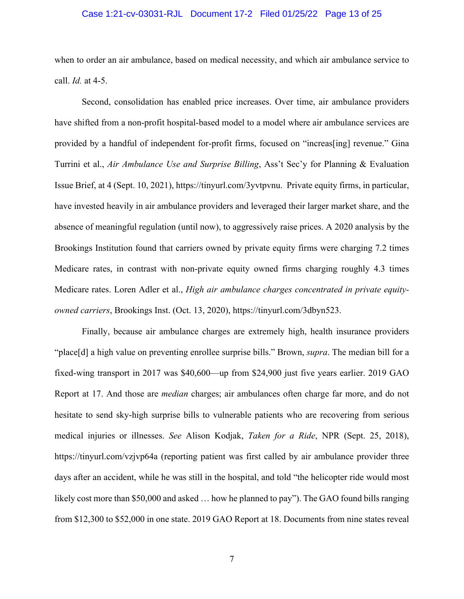#### Case 1:21-cv-03031-RJL Document 17-2 Filed 01/25/22 Page 13 of 25

when to order an air ambulance, based on medical necessity, and which air ambulance service to call. *Id.* at 4-5.

Second, consolidation has enabled price increases. Over time, air ambulance providers have shifted from a non-profit hospital-based model to a model where air ambulance services are provided by a handful of independent for-profit firms, focused on "increas[ing] revenue." Gina Turrini et al., *Air Ambulance Use and Surprise Billing*, Ass't Sec'y for Planning & Evaluation Issue Brief, at 4 (Sept. 10, 2021), https://tinyurl.com/3yvtpvnu. Private equity firms, in particular, have invested heavily in air ambulance providers and leveraged their larger market share, and the absence of meaningful regulation (until now), to aggressively raise prices. A 2020 analysis by the Brookings Institution found that carriers owned by private equity firms were charging 7.2 times Medicare rates, in contrast with non-private equity owned firms charging roughly 4.3 times Medicare rates. Loren Adler et al., *High air ambulance charges concentrated in private equityowned carriers*, Brookings Inst. (Oct. 13, 2020), https://tinyurl.com/3dbyn523.

Finally, because air ambulance charges are extremely high, health insurance providers "place[d] a high value on preventing enrollee surprise bills." Brown, *supra*. The median bill for a fixed-wing transport in 2017 was \$40,600—up from \$24,900 just five years earlier. 2019 GAO Report at 17. And those are *median* charges; air ambulances often charge far more, and do not hesitate to send sky-high surprise bills to vulnerable patients who are recovering from serious medical injuries or illnesses. *See* Alison Kodjak, *Taken for a Ride*, NPR (Sept. 25, 2018), https://tinyurl.com/vzjvp64a (reporting patient was first called by air ambulance provider three days after an accident, while he was still in the hospital, and told "the helicopter ride would most likely cost more than \$50,000 and asked … how he planned to pay"). The GAO found bills ranging from \$12,300 to \$52,000 in one state. 2019 GAO Report at 18. Documents from nine states reveal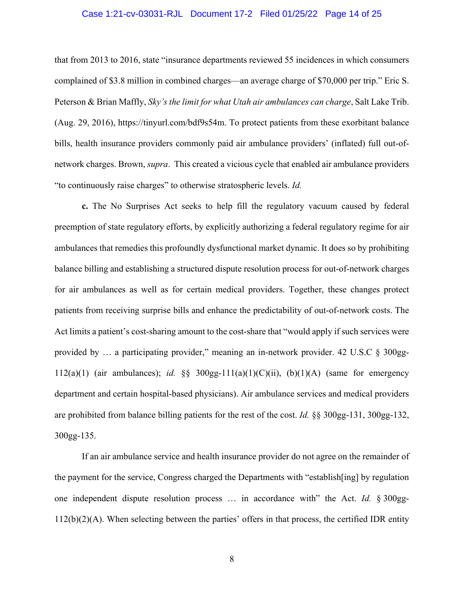#### Case 1:21-cv-03031-RJL Document 17-2 Filed 01/25/22 Page 14 of 25

that from 2013 to 2016, state "insurance departments reviewed 55 incidences in which consumers complained of \$3.8 million in combined charges—an average charge of \$70,000 per trip." Eric S. Peterson & Brian Maffly, *Sky's the limit for what Utah air ambulances can charge*, Salt Lake Trib. (Aug. 29, 2016), https://tinyurl.com/bdf9s54m. To protect patients from these exorbitant balance bills, health insurance providers commonly paid air ambulance providers' (inflated) full out-ofnetwork charges. Brown, *supra*. This created a vicious cycle that enabled air ambulance providers "to continuously raise charges" to otherwise stratospheric levels. *Id.*

**c.** The No Surprises Act seeks to help fill the regulatory vacuum caused by federal preemption of state regulatory efforts, by explicitly authorizing a federal regulatory regime for air ambulances that remedies this profoundly dysfunctional market dynamic. It does so by prohibiting balance billing and establishing a structured dispute resolution process for out-of-network charges for air ambulances as well as for certain medical providers. Together, these changes protect patients from receiving surprise bills and enhance the predictability of out-of-network costs. The Act limits a patient's cost-sharing amount to the cost-share that "would apply if such services were provided by … a participating provider," meaning an in-network provider. 42 U.S.C § 300gg-112(a)(1) (air ambulances); *id.*  $\&$  300gg-111(a)(1)(C)(ii), (b)(1)(A) (same for emergency department and certain hospital-based physicians). Air ambulance services and medical providers are prohibited from balance billing patients for the rest of the cost. *Id.* §§ 300gg-131, 300gg-132, 300gg-135.

If an air ambulance service and health insurance provider do not agree on the remainder of the payment for the service, Congress charged the Departments with "establish[ing] by regulation one independent dispute resolution process … in accordance with" the Act. *Id.* § 300gg-112(b)(2)(A). When selecting between the parties' offers in that process, the certified IDR entity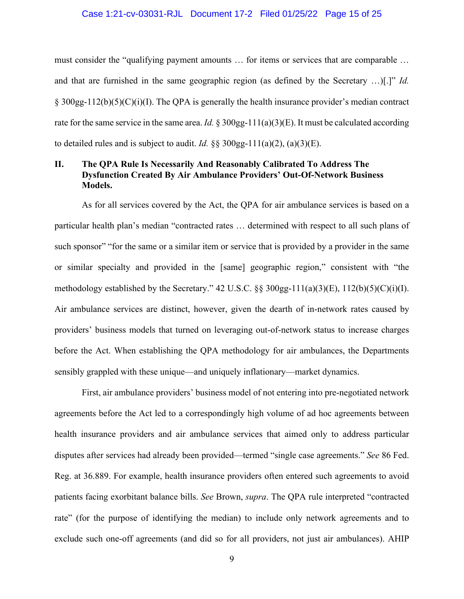#### Case 1:21-cv-03031-RJL Document 17-2 Filed 01/25/22 Page 15 of 25

must consider the "qualifying payment amounts … for items or services that are comparable … and that are furnished in the same geographic region (as defined by the Secretary …)[.]" *Id.*  $\S 300gg-112(b)(5)(C)(i)(I)$ . The QPA is generally the health insurance provider's median contract rate for the same service in the same area. *Id.* § 300gg-111(a)(3)(E). It must be calculated according to detailed rules and is subject to audit. *Id.*  $\S$ §  $300gg-111(a)(2)$ ,  $(a)(3)(E)$ .

# **II. The QPA Rule Is Necessarily And Reasonably Calibrated To Address The Dysfunction Created By Air Ambulance Providers' Out-Of-Network Business Models.**

As for all services covered by the Act, the QPA for air ambulance services is based on a particular health plan's median "contracted rates … determined with respect to all such plans of such sponsor" "for the same or a similar item or service that is provided by a provider in the same or similar specialty and provided in the [same] geographic region," consistent with "the methodology established by the Secretary." 42 U.S.C. §§ 300gg-111(a)(3)(E), 112(b)(5)(C)(i)(I). Air ambulance services are distinct, however, given the dearth of in-network rates caused by providers' business models that turned on leveraging out-of-network status to increase charges before the Act. When establishing the QPA methodology for air ambulances, the Departments sensibly grappled with these unique—and uniquely inflationary—market dynamics.

First, air ambulance providers' business model of not entering into pre-negotiated network agreements before the Act led to a correspondingly high volume of ad hoc agreements between health insurance providers and air ambulance services that aimed only to address particular disputes after services had already been provided—termed "single case agreements." *See* 86 Fed. Reg. at 36.889. For example, health insurance providers often entered such agreements to avoid patients facing exorbitant balance bills. *See* Brown, *supra*. The QPA rule interpreted "contracted rate" (for the purpose of identifying the median) to include only network agreements and to exclude such one-off agreements (and did so for all providers, not just air ambulances). AHIP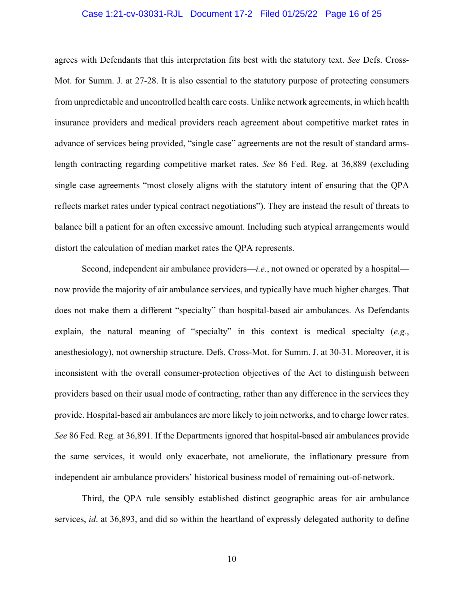#### Case 1:21-cv-03031-RJL Document 17-2 Filed 01/25/22 Page 16 of 25

agrees with Defendants that this interpretation fits best with the statutory text. *See* Defs. Cross-Mot. for Summ. J. at 27-28. It is also essential to the statutory purpose of protecting consumers from unpredictable and uncontrolled health care costs. Unlike network agreements, in which health insurance providers and medical providers reach agreement about competitive market rates in advance of services being provided, "single case" agreements are not the result of standard armslength contracting regarding competitive market rates. *See* 86 Fed. Reg. at 36,889 (excluding single case agreements "most closely aligns with the statutory intent of ensuring that the QPA reflects market rates under typical contract negotiations"). They are instead the result of threats to balance bill a patient for an often excessive amount. Including such atypical arrangements would distort the calculation of median market rates the QPA represents.

Second, independent air ambulance providers—*i.e.*, not owned or operated by a hospital now provide the majority of air ambulance services, and typically have much higher charges. That does not make them a different "specialty" than hospital-based air ambulances. As Defendants explain, the natural meaning of "specialty" in this context is medical specialty (*e.g.*, anesthesiology), not ownership structure. Defs. Cross-Mot. for Summ. J. at 30-31. Moreover, it is inconsistent with the overall consumer-protection objectives of the Act to distinguish between providers based on their usual mode of contracting, rather than any difference in the services they provide. Hospital-based air ambulances are more likely to join networks, and to charge lower rates. *See* 86 Fed. Reg. at 36,891. If the Departments ignored that hospital-based air ambulances provide the same services, it would only exacerbate, not ameliorate, the inflationary pressure from independent air ambulance providers' historical business model of remaining out-of-network.

Third, the QPA rule sensibly established distinct geographic areas for air ambulance services, *id*. at 36,893, and did so within the heartland of expressly delegated authority to define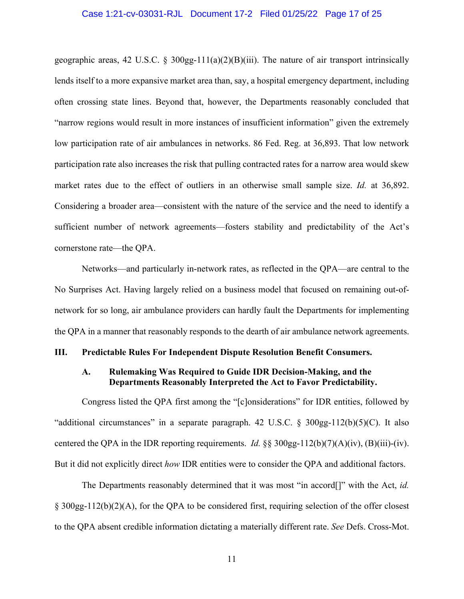#### Case 1:21-cv-03031-RJL Document 17-2 Filed 01/25/22 Page 17 of 25

geographic areas, 42 U.S.C. § 300gg-111(a)(2)(B)(iii). The nature of air transport intrinsically lends itself to a more expansive market area than, say, a hospital emergency department, including often crossing state lines. Beyond that, however, the Departments reasonably concluded that "narrow regions would result in more instances of insufficient information" given the extremely low participation rate of air ambulances in networks. 86 Fed. Reg. at 36,893. That low network participation rate also increases the risk that pulling contracted rates for a narrow area would skew market rates due to the effect of outliers in an otherwise small sample size. *Id.* at 36,892. Considering a broader area—consistent with the nature of the service and the need to identify a sufficient number of network agreements—fosters stability and predictability of the Act's cornerstone rate—the QPA.

Networks—and particularly in-network rates, as reflected in the QPA—are central to the No Surprises Act. Having largely relied on a business model that focused on remaining out-ofnetwork for so long, air ambulance providers can hardly fault the Departments for implementing the QPA in a manner that reasonably responds to the dearth of air ambulance network agreements.

#### **III. Predictable Rules For Independent Dispute Resolution Benefit Consumers.**

# **A. Rulemaking Was Required to Guide IDR Decision-Making, and the Departments Reasonably Interpreted the Act to Favor Predictability.**

Congress listed the QPA first among the "[c]onsiderations" for IDR entities, followed by "additional circumstances" in a separate paragraph. 42 U.S.C. § 300gg-112(b)(5)(C). It also centered the QPA in the IDR reporting requirements. *Id.* §§ 300gg-112(b)(7)(A)(iv), (B)(iii)-(iv). But it did not explicitly direct *how* IDR entities were to consider the QPA and additional factors.

The Departments reasonably determined that it was most "in accord[]" with the Act, *id.*  § 300gg-112(b)(2)(A), for the QPA to be considered first, requiring selection of the offer closest to the QPA absent credible information dictating a materially different rate. *See* Defs. Cross-Mot.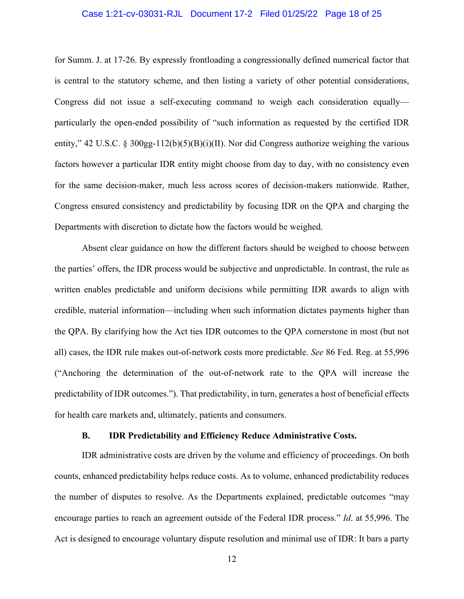#### Case 1:21-cv-03031-RJL Document 17-2 Filed 01/25/22 Page 18 of 25

for Summ. J. at 17-26. By expressly frontloading a congressionally defined numerical factor that is central to the statutory scheme, and then listing a variety of other potential considerations, Congress did not issue a self-executing command to weigh each consideration equally particularly the open-ended possibility of "such information as requested by the certified IDR entity," 42 U.S.C. § 300gg-112(b)(5)(B)(i)(II). Nor did Congress authorize weighing the various factors however a particular IDR entity might choose from day to day, with no consistency even for the same decision-maker, much less across scores of decision-makers nationwide. Rather, Congress ensured consistency and predictability by focusing IDR on the QPA and charging the Departments with discretion to dictate how the factors would be weighed.

Absent clear guidance on how the different factors should be weighed to choose between the parties' offers, the IDR process would be subjective and unpredictable. In contrast, the rule as written enables predictable and uniform decisions while permitting IDR awards to align with credible, material information—including when such information dictates payments higher than the QPA. By clarifying how the Act ties IDR outcomes to the QPA cornerstone in most (but not all) cases, the IDR rule makes out-of-network costs more predictable. *See* 86 Fed. Reg. at 55,996 ("Anchoring the determination of the out-of-network rate to the QPA will increase the predictability of IDR outcomes."). That predictability, in turn, generates a host of beneficial effects for health care markets and, ultimately, patients and consumers.

#### **B. IDR Predictability and Efficiency Reduce Administrative Costs.**

IDR administrative costs are driven by the volume and efficiency of proceedings. On both counts, enhanced predictability helps reduce costs. As to volume, enhanced predictability reduces the number of disputes to resolve. As the Departments explained, predictable outcomes "may encourage parties to reach an agreement outside of the Federal IDR process." *Id*. at 55,996. The Act is designed to encourage voluntary dispute resolution and minimal use of IDR: It bars a party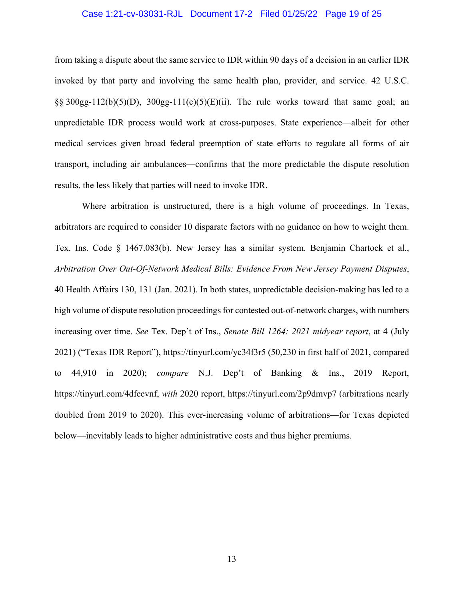#### Case 1:21-cv-03031-RJL Document 17-2 Filed 01/25/22 Page 19 of 25

from taking a dispute about the same service to IDR within 90 days of a decision in an earlier IDR invoked by that party and involving the same health plan, provider, and service. 42 U.S.C.  $\S$ § 300gg-112(b)(5)(D), 300gg-111(c)(5)(E)(ii). The rule works toward that same goal; an unpredictable IDR process would work at cross-purposes. State experience—albeit for other medical services given broad federal preemption of state efforts to regulate all forms of air transport, including air ambulances—confirms that the more predictable the dispute resolution results, the less likely that parties will need to invoke IDR.

Where arbitration is unstructured, there is a high volume of proceedings. In Texas, arbitrators are required to consider 10 disparate factors with no guidance on how to weight them. Tex. Ins. Code § 1467.083(b). New Jersey has a similar system. Benjamin Chartock et al., *Arbitration Over Out-Of-Network Medical Bills: Evidence From New Jersey Payment Disputes*, 40 Health Affairs 130, 131 (Jan. 2021). In both states, unpredictable decision-making has led to a high volume of dispute resolution proceedings for contested out-of-network charges, with numbers increasing over time. *See* Tex. Dep't of Ins., *Senate Bill 1264: 2021 midyear report*, at 4 (July 2021) ("Texas IDR Report"), https://tinyurl.com/yc34f3r5 (50,230 in first half of 2021, compared to 44,910 in 2020); *compare* N.J. Dep't of Banking & Ins., 2019 Report, https://tinyurl.com/4dfeevnf, *with* 2020 report, https://tinyurl.com/2p9dmvp7 (arbitrations nearly doubled from 2019 to 2020). This ever-increasing volume of arbitrations—for Texas depicted below—inevitably leads to higher administrative costs and thus higher premiums.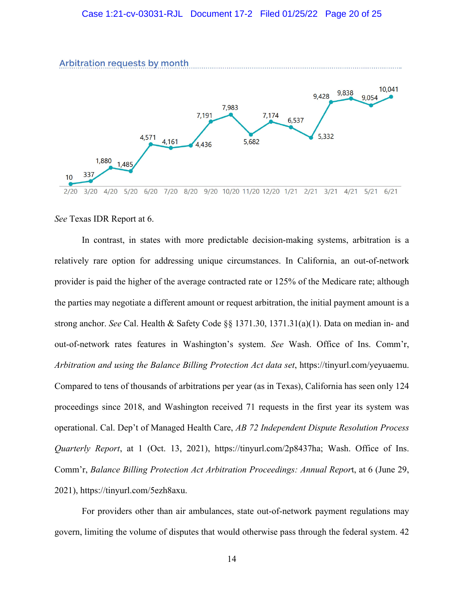

*See* Texas IDR Report at 6.

In contrast, in states with more predictable decision-making systems, arbitration is a relatively rare option for addressing unique circumstances. In California, an out-of-network provider is paid the higher of the average contracted rate or 125% of the Medicare rate; although the parties may negotiate a different amount or request arbitration, the initial payment amount is a strong anchor. *See* Cal. Health & Safety Code §§ 1371.30, 1371.31(a)(1). Data on median in- and out-of-network rates features in Washington's system. *See* Wash. Office of Ins. Comm'r, *Arbitration and using the Balance Billing Protection Act data set*, https://tinyurl.com/yeyuaemu. Compared to tens of thousands of arbitrations per year (as in Texas), California has seen only 124 proceedings since 2018, and Washington received 71 requests in the first year its system was operational. Cal. Dep't of Managed Health Care, *AB 72 Independent Dispute Resolution Process Quarterly Report*, at 1 (Oct. 13, 2021), https://tinyurl.com/2p8437ha; Wash. Office of Ins. Comm'r, *Balance Billing Protection Act Arbitration Proceedings: Annual Repor*t, at 6 (June 29, 2021), https://tinyurl.com/5ezh8axu.

For providers other than air ambulances, state out-of-network payment regulations may govern, limiting the volume of disputes that would otherwise pass through the federal system. 42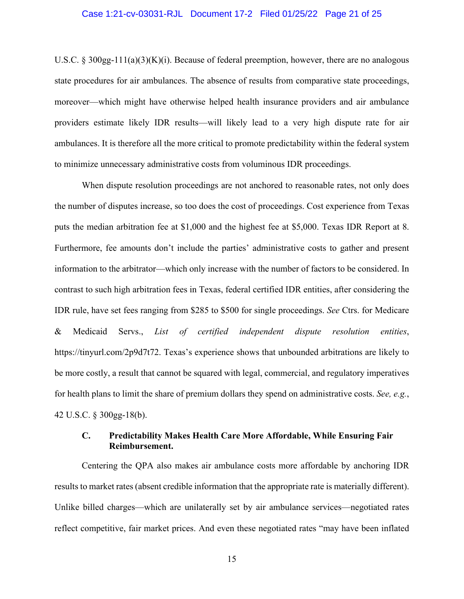#### Case 1:21-cv-03031-RJL Document 17-2 Filed 01/25/22 Page 21 of 25

U.S.C. § 300gg-111(a)(3)(K)(i). Because of federal preemption, however, there are no analogous state procedures for air ambulances. The absence of results from comparative state proceedings, moreover—which might have otherwise helped health insurance providers and air ambulance providers estimate likely IDR results—will likely lead to a very high dispute rate for air ambulances. It is therefore all the more critical to promote predictability within the federal system to minimize unnecessary administrative costs from voluminous IDR proceedings.

When dispute resolution proceedings are not anchored to reasonable rates, not only does the number of disputes increase, so too does the cost of proceedings. Cost experience from Texas puts the median arbitration fee at \$1,000 and the highest fee at \$5,000. Texas IDR Report at 8. Furthermore, fee amounts don't include the parties' administrative costs to gather and present information to the arbitrator—which only increase with the number of factors to be considered. In contrast to such high arbitration fees in Texas, federal certified IDR entities, after considering the IDR rule, have set fees ranging from \$285 to \$500 for single proceedings. *See* Ctrs. for Medicare & Medicaid Servs., *List of certified independent dispute resolution entities*, https://tinyurl.com/2p9d7t72. Texas's experience shows that unbounded arbitrations are likely to be more costly, a result that cannot be squared with legal, commercial, and regulatory imperatives for health plans to limit the share of premium dollars they spend on administrative costs. *See, e.g.*, 42 U.S.C. § 300gg-18(b).

# **C. Predictability Makes Health Care More Affordable, While Ensuring Fair Reimbursement.**

Centering the QPA also makes air ambulance costs more affordable by anchoring IDR results to market rates (absent credible information that the appropriate rate is materially different). Unlike billed charges—which are unilaterally set by air ambulance services—negotiated rates reflect competitive, fair market prices. And even these negotiated rates "may have been inflated

15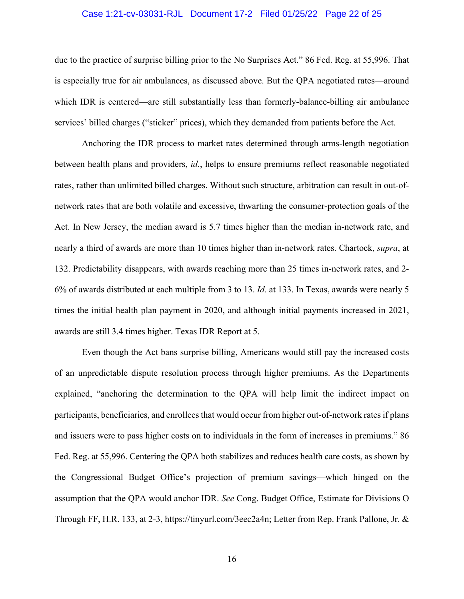#### Case 1:21-cv-03031-RJL Document 17-2 Filed 01/25/22 Page 22 of 25

due to the practice of surprise billing prior to the No Surprises Act." 86 Fed. Reg. at 55,996. That is especially true for air ambulances, as discussed above. But the QPA negotiated rates—around which IDR is centered—are still substantially less than formerly-balance-billing air ambulance services' billed charges ("sticker" prices), which they demanded from patients before the Act.

Anchoring the IDR process to market rates determined through arms-length negotiation between health plans and providers, *id.*, helps to ensure premiums reflect reasonable negotiated rates, rather than unlimited billed charges. Without such structure, arbitration can result in out-ofnetwork rates that are both volatile and excessive, thwarting the consumer-protection goals of the Act. In New Jersey, the median award is 5.7 times higher than the median in-network rate, and nearly a third of awards are more than 10 times higher than in-network rates. Chartock, *supra*, at 132. Predictability disappears, with awards reaching more than 25 times in-network rates, and 2- 6% of awards distributed at each multiple from 3 to 13. *Id.* at 133. In Texas, awards were nearly 5 times the initial health plan payment in 2020, and although initial payments increased in 2021, awards are still 3.4 times higher. Texas IDR Report at 5.

Even though the Act bans surprise billing, Americans would still pay the increased costs of an unpredictable dispute resolution process through higher premiums. As the Departments explained, "anchoring the determination to the QPA will help limit the indirect impact on participants, beneficiaries, and enrollees that would occur from higher out-of-network rates if plans and issuers were to pass higher costs on to individuals in the form of increases in premiums." 86 Fed. Reg. at 55,996. Centering the QPA both stabilizes and reduces health care costs, as shown by the Congressional Budget Office's projection of premium savings—which hinged on the assumption that the QPA would anchor IDR. *See* Cong. Budget Office, Estimate for Divisions O Through FF, H.R. 133, at 2-3, https://tinyurl.com/3eec2a4n; Letter from Rep. Frank Pallone, Jr. &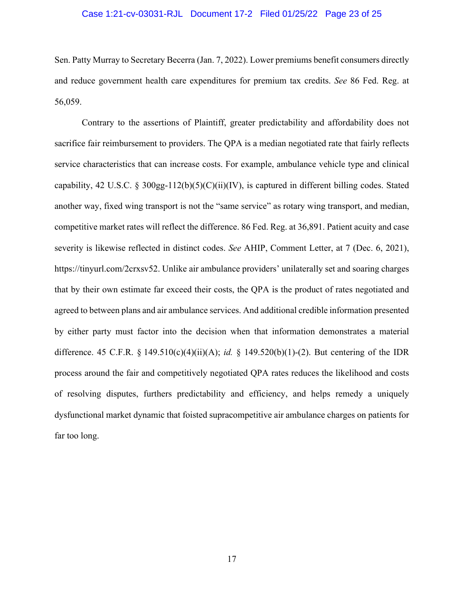#### Case 1:21-cv-03031-RJL Document 17-2 Filed 01/25/22 Page 23 of 25

Sen. Patty Murray to Secretary Becerra (Jan. 7, 2022). Lower premiums benefit consumers directly and reduce government health care expenditures for premium tax credits. *See* 86 Fed. Reg. at 56,059.

Contrary to the assertions of Plaintiff, greater predictability and affordability does not sacrifice fair reimbursement to providers. The QPA is a median negotiated rate that fairly reflects service characteristics that can increase costs. For example, ambulance vehicle type and clinical capability, 42 U.S.C. § 300gg-112(b)(5)(C)(ii)(IV), is captured in different billing codes. Stated another way, fixed wing transport is not the "same service" as rotary wing transport, and median, competitive market rates will reflect the difference. 86 Fed. Reg. at 36,891. Patient acuity and case severity is likewise reflected in distinct codes. *See* AHIP, Comment Letter, at 7 (Dec. 6, 2021), https://tinyurl.com/2crxsv52. Unlike air ambulance providers' unilaterally set and soaring charges that by their own estimate far exceed their costs, the QPA is the product of rates negotiated and agreed to between plans and air ambulance services. And additional credible information presented by either party must factor into the decision when that information demonstrates a material difference. 45 C.F.R. § 149.510(c)(4)(ii)(A); *id.* § 149.520(b)(1)-(2). But centering of the IDR process around the fair and competitively negotiated QPA rates reduces the likelihood and costs of resolving disputes, furthers predictability and efficiency, and helps remedy a uniquely dysfunctional market dynamic that foisted supracompetitive air ambulance charges on patients for far too long.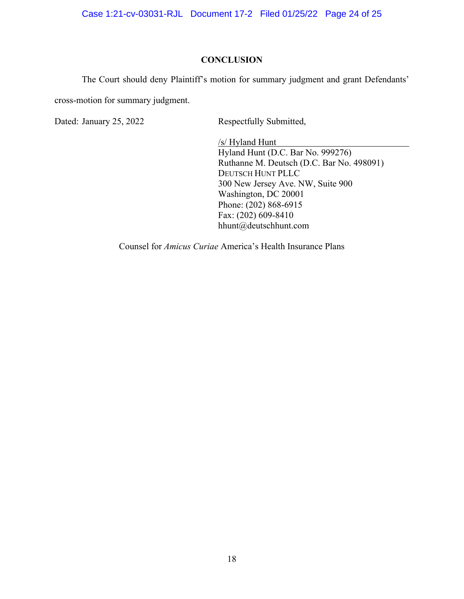Case 1:21-cv-03031-RJL Document 17-2 Filed 01/25/22 Page 24 of 25

## **CONCLUSION**

The Court should deny Plaintiff's motion for summary judgment and grant Defendants'

cross-motion for summary judgment.

Dated: January 25, 2022 Respectfully Submitted,

/s/ Hyland Hunt Hyland Hunt (D.C. Bar No. 999276) Ruthanne M. Deutsch (D.C. Bar No. 498091) DEUTSCH HUNT PLLC 300 New Jersey Ave. NW, Suite 900 Washington, DC 20001 Phone: (202) 868-6915 Fax: (202) 609-8410 hhunt@deutschhunt.com

Counsel for *Amicus Curiae* America's Health Insurance Plans